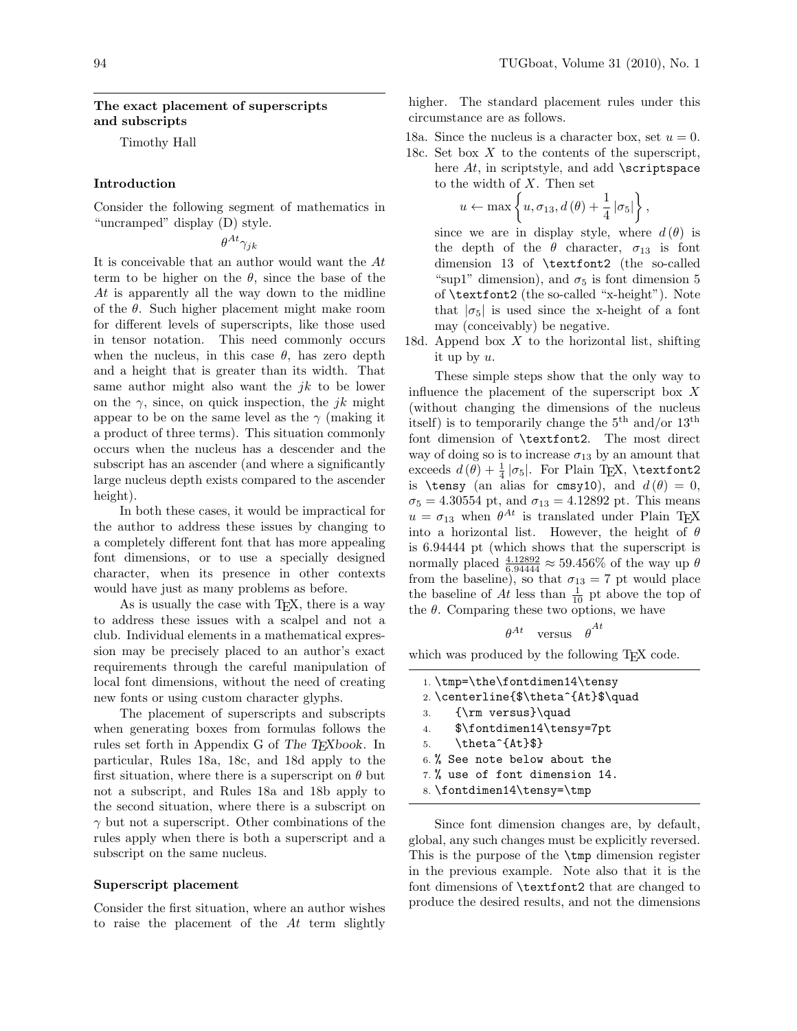,

# The exact placement of superscripts and subscripts

Timothy Hall

# Introduction

Consider the following segment of mathematics in "uncramped" display (D) style.

 $\theta^{At}\gamma_{jk}$ 

It is conceivable that an author would want the At term to be higher on the  $\theta$ , since the base of the At is apparently all the way down to the midline of the  $\theta$ . Such higher placement might make room for different levels of superscripts, like those used in tensor notation. This need commonly occurs when the nucleus, in this case  $\theta$ , has zero depth and a height that is greater than its width. That same author might also want the  $jk$  to be lower on the  $\gamma$ , since, on quick inspection, the jk might appear to be on the same level as the  $\gamma$  (making it a product of three terms). This situation commonly occurs when the nucleus has a descender and the subscript has an ascender (and where a significantly large nucleus depth exists compared to the ascender height).

In both these cases, it would be impractical for the author to address these issues by changing to a completely different font that has more appealing font dimensions, or to use a specially designed character, when its presence in other contexts would have just as many problems as before.

As is usually the case with T<sub>E</sub>X, there is a way to address these issues with a scalpel and not a club. Individual elements in a mathematical expression may be precisely placed to an author's exact requirements through the careful manipulation of local font dimensions, without the need of creating new fonts or using custom character glyphs.

The placement of superscripts and subscripts when generating boxes from formulas follows the rules set forth in Appendix G of The T<sub>E</sub>Xbook. In particular, Rules 18a, 18c, and 18d apply to the first situation, where there is a superscript on  $\theta$  but not a subscript, and Rules 18a and 18b apply to the second situation, where there is a subscript on  $\gamma$  but not a superscript. Other combinations of the rules apply when there is both a superscript and a subscript on the same nucleus.

#### Superscript placement

Consider the first situation, where an author wishes to raise the placement of the At term slightly higher. The standard placement rules under this circumstance are as follows.

18a. Since the nucleus is a character box, set  $u = 0$ .

18c. Set box  $X$  to the contents of the superscript, here  $At$ , in scriptstyle, and add  $\scriptstyle\setminus$  scriptspace to the width of  $X$ . Then set

$$
u \leftarrow \max \left\{ u, \sigma_{13}, d(\theta) + \frac{1}{4} |\sigma_5| \right\}
$$

since we are in display style, where  $d(\theta)$  is the depth of the  $\theta$  character,  $\sigma_{13}$  is font dimension 13 of \textfont2 (the so-called "sup1" dimension), and  $\sigma_5$  is font dimension 5 of \textfont2 (the so-called "x-height"). Note that  $|\sigma_5|$  is used since the x-height of a font may (conceivably) be negative.

18d. Append box  $X$  to the horizontal list, shifting it up by u.

These simple steps show that the only way to influence the placement of the superscript box  $X$ (without changing the dimensions of the nucleus itself) is to temporarily change the  $5<sup>th</sup>$  and/or  $13<sup>th</sup>$ font dimension of \textfont2. The most direct way of doing so is to increase  $\sigma_{13}$  by an amount that exceeds  $d(\theta) + \frac{1}{4} |\sigma_5|$ . For Plain T<sub>E</sub>X, **\textfont2** is \tensy (an alias for cmsy10), and  $d(\theta) = 0$ ,  $\sigma_5 = 4.30554$  pt, and  $\sigma_{13} = 4.12892$  pt. This means  $u = \sigma_{13}$  when  $\theta^{At}$  is translated under Plain T<sub>E</sub>X into a horizontal list. However, the height of  $\theta$ is 6.94444 pt (which shows that the superscript is normally placed  $\frac{4.12892}{6.94444} \approx 59.456\%$  of the way up  $\theta$ from the baseline), so that  $\sigma_{13} = 7$  pt would place the baseline of  $At$  less than  $\frac{1}{10}$  pt above the top of the  $\theta$ . Comparing these two options, we have

$$
\theta^{At} \quad \text{versus} \quad \theta^{At}
$$

which was produced by the following T<sub>EX</sub> code.

1. \tmp=\the\fontdimen14\tensy 2. \centerline{\$\theta^{At}\$\quad 3. {\rm versus}\quad 4. \$\fontdimen14\tensy=7pt 5.  $\theta^{At}$ 6. % See note below about the 7. % use of font dimension 14. 8. \fontdimen14\tensy=\tmp

Since font dimension changes are, by default, global, any such changes must be explicitly reversed. This is the purpose of the \tmp dimension register in the previous example. Note also that it is the font dimensions of \textfont2 that are changed to produce the desired results, and not the dimensions